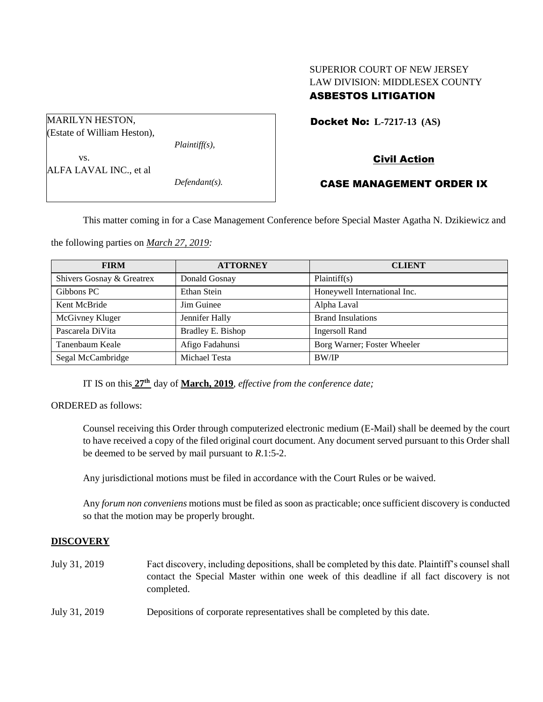# SUPERIOR COURT OF NEW JERSEY LAW DIVISION: MIDDLESEX COUNTY ASBESTOS LITIGATION

| <b>MARILYN HESTON,</b>      |                  |
|-----------------------------|------------------|
| (Estate of William Heston), |                  |
|                             | $Plaintiff(s)$ , |
| VS.                         |                  |
| ALFA LAVAL INC., et al      |                  |
|                             | $Defendant(s)$ . |

# Docket No: **L-7217-13 (AS)**

# Civil Action

# CASE MANAGEMENT ORDER IX

This matter coming in for a Case Management Conference before Special Master Agatha N. Dzikiewicz and

the following parties on *March 27, 2019:*

| <b>FIRM</b>               | <b>ATTORNEY</b>   | <b>CLIENT</b>                |
|---------------------------|-------------------|------------------------------|
| Shivers Gosnay & Greatrex | Donald Gosnay     | Plaintiff(s)                 |
| Gibbons PC                | Ethan Stein       | Honeywell International Inc. |
| Kent McBride              | Jim Guinee        | Alpha Laval                  |
| McGivney Kluger           | Jennifer Hally    | <b>Brand Insulations</b>     |
| Pascarela DiVita          | Bradley E. Bishop | <b>Ingersoll Rand</b>        |
| Tanenbaum Keale           | Afigo Fadahunsi   | Borg Warner; Foster Wheeler  |
| Segal McCambridge         | Michael Testa     | <b>BW/IP</b>                 |

IT IS on this **27th** day of **March, 2019**, *effective from the conference date;*

ORDERED as follows:

Counsel receiving this Order through computerized electronic medium (E-Mail) shall be deemed by the court to have received a copy of the filed original court document. Any document served pursuant to this Order shall be deemed to be served by mail pursuant to *R*.1:5-2.

Any jurisdictional motions must be filed in accordance with the Court Rules or be waived.

Any *forum non conveniens* motions must be filed as soon as practicable; once sufficient discovery is conducted so that the motion may be properly brought.

# **DISCOVERY**

- July 31, 2019 Fact discovery, including depositions, shall be completed by this date. Plaintiff's counsel shall contact the Special Master within one week of this deadline if all fact discovery is not completed.
- July 31, 2019 Depositions of corporate representatives shall be completed by this date.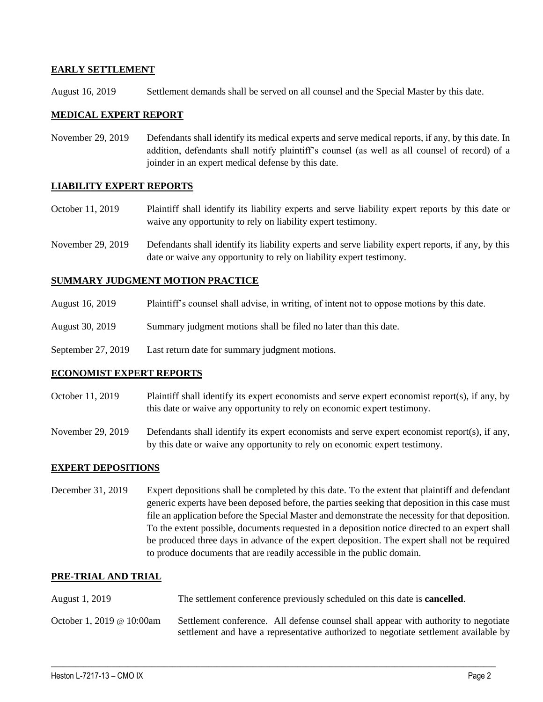## **EARLY SETTLEMENT**

August 16, 2019 Settlement demands shall be served on all counsel and the Special Master by this date.

### **MEDICAL EXPERT REPORT**

November 29, 2019 Defendants shall identify its medical experts and serve medical reports, if any, by this date. In addition, defendants shall notify plaintiff's counsel (as well as all counsel of record) of a joinder in an expert medical defense by this date.

### **LIABILITY EXPERT REPORTS**

- October 11, 2019 Plaintiff shall identify its liability experts and serve liability expert reports by this date or waive any opportunity to rely on liability expert testimony.
- November 29, 2019 Defendants shall identify its liability experts and serve liability expert reports, if any, by this date or waive any opportunity to rely on liability expert testimony.

## **SUMMARY JUDGMENT MOTION PRACTICE**

- August 16, 2019 Plaintiff's counsel shall advise, in writing, of intent not to oppose motions by this date.
- August 30, 2019 Summary judgment motions shall be filed no later than this date.
- September 27, 2019 Last return date for summary judgment motions.

### **ECONOMIST EXPERT REPORTS**

- October 11, 2019 Plaintiff shall identify its expert economists and serve expert economist report(s), if any, by this date or waive any opportunity to rely on economic expert testimony.
- November 29, 2019 Defendants shall identify its expert economists and serve expert economist report(s), if any, by this date or waive any opportunity to rely on economic expert testimony.

### **EXPERT DEPOSITIONS**

December 31, 2019 Expert depositions shall be completed by this date. To the extent that plaintiff and defendant generic experts have been deposed before, the parties seeking that deposition in this case must file an application before the Special Master and demonstrate the necessity for that deposition. To the extent possible, documents requested in a deposition notice directed to an expert shall be produced three days in advance of the expert deposition. The expert shall not be required to produce documents that are readily accessible in the public domain.

### **PRE-TRIAL AND TRIAL**

- August 1, 2019 The settlement conference previously scheduled on this date is **cancelled**.
- October 1, 2019 @ 10:00am Settlement conference. All defense counsel shall appear with authority to negotiate settlement and have a representative authorized to negotiate settlement available by

 $\_$  ,  $\_$  ,  $\_$  ,  $\_$  ,  $\_$  ,  $\_$  ,  $\_$  ,  $\_$  ,  $\_$  ,  $\_$  ,  $\_$  ,  $\_$  ,  $\_$  ,  $\_$  ,  $\_$  ,  $\_$  ,  $\_$  ,  $\_$  ,  $\_$  ,  $\_$  ,  $\_$  ,  $\_$  ,  $\_$  ,  $\_$  ,  $\_$  ,  $\_$  ,  $\_$  ,  $\_$  ,  $\_$  ,  $\_$  ,  $\_$  ,  $\_$  ,  $\_$  ,  $\_$  ,  $\_$  ,  $\_$  ,  $\_$  ,